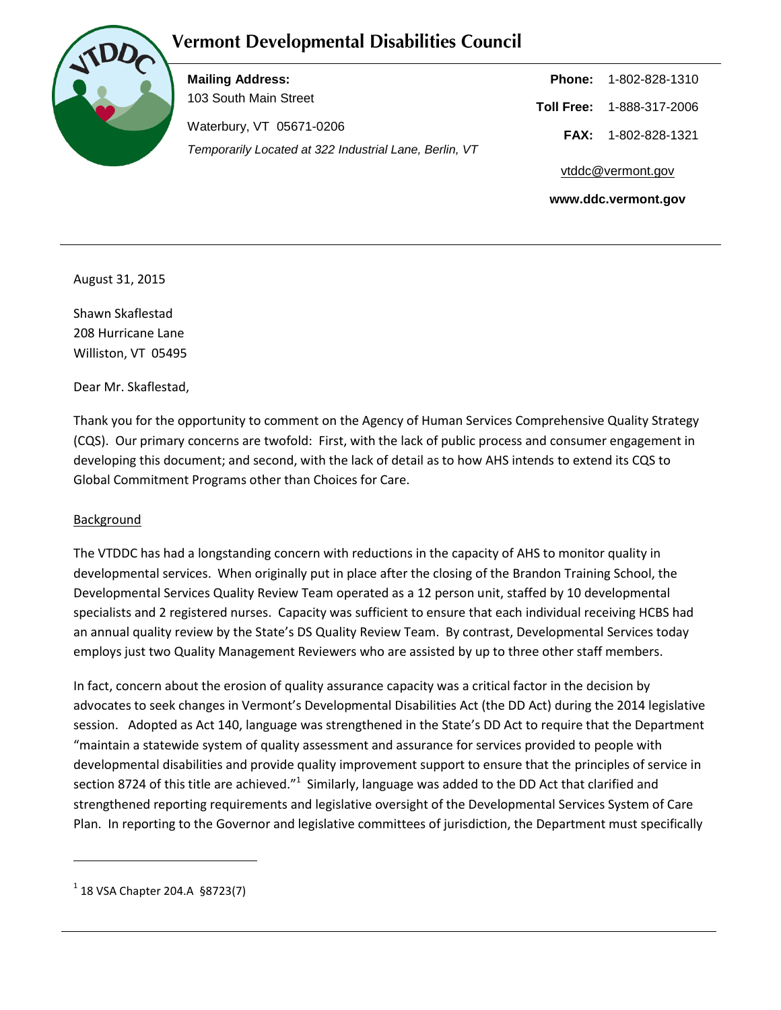## **Vermont Developmental Disabilities Council**



**Mailing Address:** 103 South Main Street Waterbury, VT 05671-0206 *Temporarily Located at 322 Industrial Lane, Berlin, VT*

**Phone:** 1-802-828-1310 **Toll Free:** 1-888-317-2006 **FAX:** 1-802-828-1321 vtddc@vermont.gov **www.ddc.vermont.gov**

August 31, 2015

Shawn Skaflestad 208 Hurricane Lane Williston, VT 05495

Dear Mr. Skaflestad,

Thank you for the opportunity to comment on the Agency of Human Services Comprehensive Quality Strategy (CQS). Our primary concerns are twofold: First, with the lack of public process and consumer engagement in developing this document; and second, with the lack of detail as to how AHS intends to extend its CQS to Global Commitment Programs other than Choices for Care.

## **Background**

The VTDDC has had a longstanding concern with reductions in the capacity of AHS to monitor quality in developmental services. When originally put in place after the closing of the Brandon Training School, the Developmental Services Quality Review Team operated as a 12 person unit, staffed by 10 developmental specialists and 2 registered nurses. Capacity was sufficient to ensure that each individual receiving HCBS had an annual quality review by the State's DS Quality Review Team. By contrast, Developmental Services today employs just two Quality Management Reviewers who are assisted by up to three other staff members.

In fact, concern about the erosion of quality assurance capacity was a critical factor in the decision by advocates to seek changes in Vermont's Developmental Disabilities Act (the DD Act) during the 2014 legislative session. Adopted as Act 140, language was strengthened in the State's DD Act to require that the Department "maintain a statewide system of quality assessment and assurance for services provided to people with developmental disabilities and provide quality improvement support to ensure that the principles of service in section 8724 of this title are achieved." $1$  Similarly, language was added to the DD Act that clarified and strengthened reporting requirements and legislative oversight of the Developmental Services System of Care Plan. In reporting to the Governor and legislative committees of jurisdiction, the Department must specifically

 $\ddot{\phantom{a}}$ 

 $1$  18 VSA Chapter 204.A §8723(7)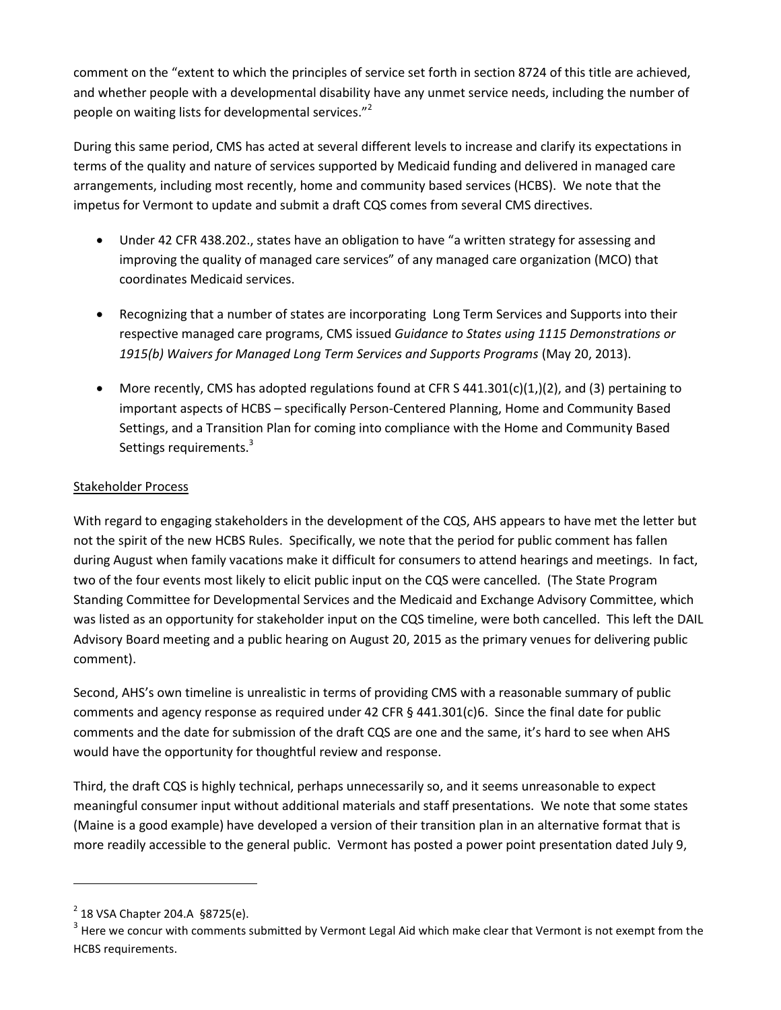comment on the "extent to which the principles of service set forth in section 8724 of this title are achieved, and whether people with a developmental disability have any unmet service needs, including the number of people on waiting lists for developmental services."<sup>2</sup>

During this same period, CMS has acted at several different levels to increase and clarify its expectations in terms of the quality and nature of services supported by Medicaid funding and delivered in managed care arrangements, including most recently, home and community based services (HCBS). We note that the impetus for Vermont to update and submit a draft CQS comes from several CMS directives.

- Under 42 CFR 438.202., states have an obligation to have "a written strategy for assessing and improving the quality of managed care services" of any managed care organization (MCO) that coordinates Medicaid services.
- Recognizing that a number of states are incorporating Long Term Services and Supports into their respective managed care programs, CMS issued *Guidance to States using 1115 Demonstrations or 1915(b) Waivers for Managed Long Term Services and Supports Programs* (May 20, 2013).
- More recently, CMS has adopted regulations found at CFR S  $441.301(c)(1,)(2)$ , and (3) pertaining to important aspects of HCBS – specifically Person-Centered Planning, Home and Community Based Settings, and a Transition Plan for coming into compliance with the Home and Community Based Settings requirements.<sup>3</sup>

## Stakeholder Process

With regard to engaging stakeholders in the development of the CQS, AHS appears to have met the letter but not the spirit of the new HCBS Rules. Specifically, we note that the period for public comment has fallen during August when family vacations make it difficult for consumers to attend hearings and meetings. In fact, two of the four events most likely to elicit public input on the CQS were cancelled. (The State Program Standing Committee for Developmental Services and the Medicaid and Exchange Advisory Committee, which was listed as an opportunity for stakeholder input on the CQS timeline, were both cancelled. This left the DAIL Advisory Board meeting and a public hearing on August 20, 2015 as the primary venues for delivering public comment).

Second, AHS's own timeline is unrealistic in terms of providing CMS with a reasonable summary of public comments and agency response as required under 42 CFR  $\S$  441.301(c)6. Since the final date for public comments and the date for submission of the draft CQS are one and the same, it's hard to see when AHS would have the opportunity for thoughtful review and response.

Third, the draft CQS is highly technical, perhaps unnecessarily so, and it seems unreasonable to expect meaningful consumer input without additional materials and staff presentations. We note that some states (Maine is a good example) have developed a version of their transition plan in an alternative format that is more readily accessible to the general public. Vermont has posted a power point presentation dated July 9,

 $\overline{a}$ 

 $^{2}$  18 VSA Chapter 204.A §8725(e).

 $3$  Here we concur with comments submitted by Vermont Legal Aid which make clear that Vermont is not exempt from the HCBS requirements.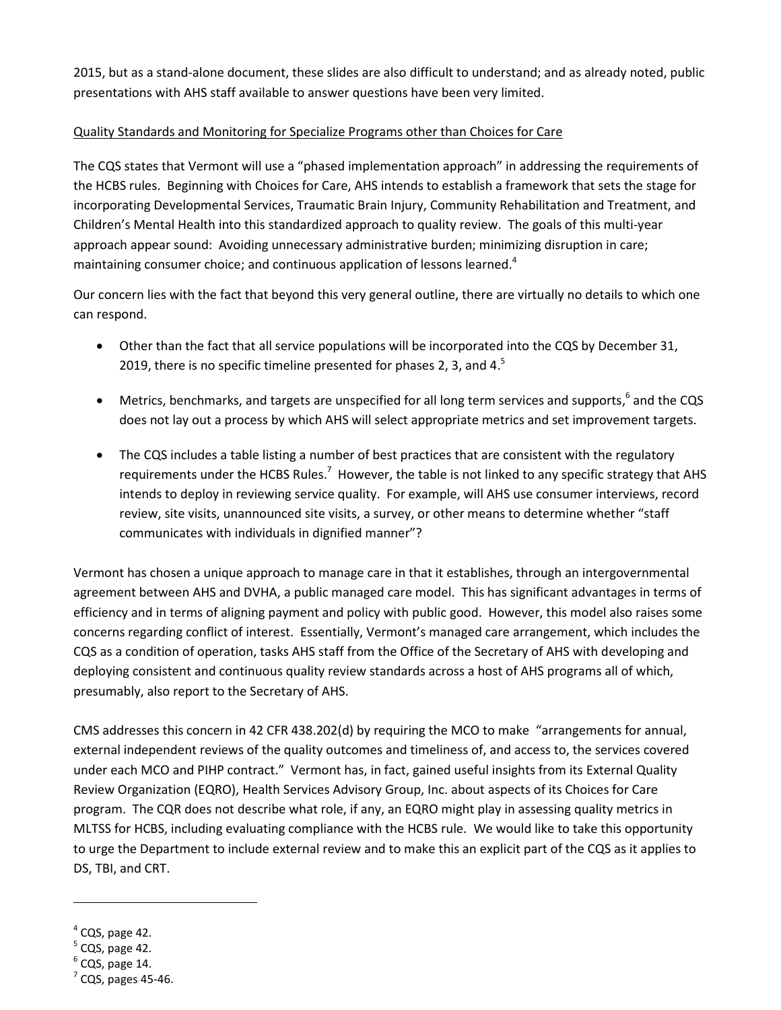2015, but as a stand-alone document, these slides are also difficult to understand; and as already noted, public presentations with AHS staff available to answer questions have been very limited.

## Quality Standards and Monitoring for Specialize Programs other than Choices for Care

The CQS states that Vermont will use a "phased implementation approach" in addressing the requirements of the HCBS rules. Beginning with Choices for Care, AHS intends to establish a framework that sets the stage for incorporating Developmental Services, Traumatic Brain Injury, Community Rehabilitation and Treatment, and Children's Mental Health into this standardized approach to quality review. The goals of this multi-year approach appear sound: Avoiding unnecessary administrative burden; minimizing disruption in care; maintaining consumer choice; and continuous application of lessons learned.<sup>4</sup>

Our concern lies with the fact that beyond this very general outline, there are virtually no details to which one can respond.

- Other than the fact that all service populations will be incorporated into the CQS by December 31, 2019, there is no specific timeline presented for phases 2, 3, and 4. $5$
- Metrics, benchmarks, and targets are unspecified for all long term services and supports, <sup>6</sup> and the CQS does not lay out a process by which AHS will select appropriate metrics and set improvement targets.
- The CQS includes a table listing a number of best practices that are consistent with the regulatory requirements under the HCBS Rules.<sup>7</sup> However, the table is not linked to any specific strategy that AHS intends to deploy in reviewing service quality. For example, will AHS use consumer interviews, record review, site visits, unannounced site visits, a survey, or other means to determine whether "staff communicates with individuals in dignified manner"?

Vermont has chosen a unique approach to manage care in that it establishes, through an intergovernmental agreement between AHS and DVHA, a public managed care model. This has significant advantages in terms of efficiency and in terms of aligning payment and policy with public good. However, this model also raises some concerns regarding conflict of interest. Essentially, Vermont's managed care arrangement, which includes the CQS as a condition of operation, tasks AHS staff from the Office of the Secretary of AHS with developing and deploying consistent and continuous quality review standards across a host of AHS programs all of which, presumably, also report to the Secretary of AHS.

CMS addresses this concern in 42 CFR 438.202(d) by requiring the MCO to make "arrangements for annual, external independent reviews of the quality outcomes and timeliness of, and access to, the services covered under each MCO and PIHP contract." Vermont has, in fact, gained useful insights from its External Quality Review Organization (EQRO), Health Services Advisory Group, Inc. about aspects of its Choices for Care program. The CQR does not describe what role, if any, an EQRO might play in assessing quality metrics in MLTSS for HCBS, including evaluating compliance with the HCBS rule. We would like to take this opportunity to urge the Department to include external review and to make this an explicit part of the CQS as it applies to DS, TBI, and CRT.

 $\overline{a}$ 

- $<sup>5</sup>$  CQS, page 42.</sup>
- $^6$  CQS, page 14.

 $<sup>4</sup>$  CQS, page 42.</sup>

 $<sup>7</sup>$  CQS, pages 45-46.</sup>